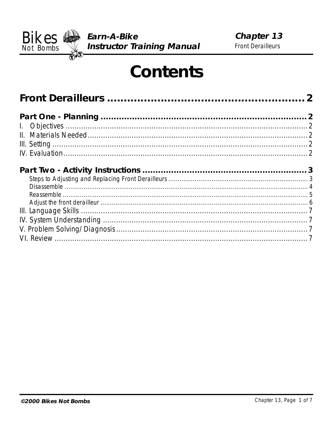

# **Contents**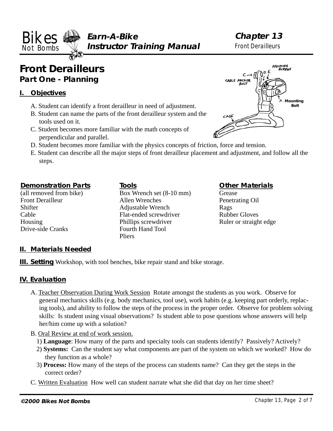<span id="page-1-0"></span>**Earn-A-Bike Not Bombs Well Instructor Training Manual** Front Derailleurs **Bikes** Earn-A-Bike **Chapter 13**<br>Not Bambs Instructor Training Manual Front Derailleurs

## **Front Derailleurs Part One - Planning**

#### **I. Objectives**

- A. Student can identify a front derailleur in need of adjustment.
- B. Student can name the parts of the front derailleur system and the tools used on it.
- C. Student becomes more familiar with the math concepts of perpendicular and parallel.
- D. Student becomes more familiar with the physics concepts of friction, force and tension.
- E. Student can describe all the major steps of front derailleur placement and adjustment, and follow all the steps.

#### **Demonstration Parts**

(all removed from bike) Front Derailleur **Shifter** Cable Housing Drive-side Cranks

#### **Tools**

Box Wrench set (8-10 mm) Allen Wrenches Adjustable Wrench Flat-ended screwdriver Phillips screwdriver Fourth Hand Tool Pliers

#### **Other Materials**

Grease Penetrating Oil Rags Rubber Gloves Ruler or straight edge

#### **II. Materials Needed**

**III. Setting** Workshop, with tool benches, bike repair stand and bike storage.

#### **IV. Evaluation**

- A. Teacher Observation During Work Session Rotate amongst the students as you work. Observe for general mechanics skills (e.g. body mechanics, tool use), work habits (e.g. keeping part orderly, replacing tools), and ability to follow the steps of the process in the proper order. Observe for problem solving skills: Is student using visual observations? Is student able to pose questions whose answers will help her/him come up with a solution?
- B. Oral Review at end of work session.
	- 1) **Language**: How many of the parts and specialty tools can students identify? Passively? Actively?
	- 2) **Systems:** Can the student say what components are part of the system on which we worked? How do they function as a whole?
	- 3) **Process:** How many of the steps of the process can students name? Can they get the steps in the correct order?
- C. Written Evaluation How well can student narrate what she did that day on her time sheet?

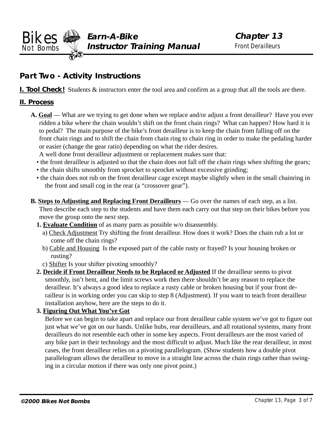<span id="page-2-0"></span>**Earn-A-Bike Not Bombs Well Instructor Training Manual** Front Derailleurs **Bikes** Earn-A-Bike **Chapter 13**<br>Not Rambs Instructor Training Manual Front Derailleurs

### **Part Two - Activity Instructions**

**I. Tool Check!** Students & instructors enter the tool area and confirm as a group that all the tools are there.

#### **II. Process**

- **A. Goal** What are we trying to get done when we replace and/or adjust a front derailleur? Have you ever ridden a bike where the chain wouldn't shift on the front chain rings? What can happen? How hard it is to pedal? The main purpose of the bike's front derailleur is to keep the chain from falling off on the front chain rings and to shift the chain from chain ring to chain ring in order to make the pedaling harder or easier (change the gear ratio) depending on what the rider desires.
	- A well done front derailleur adjustment or replacement makes sure that:
	- the front derailleur is adjusted so that the chain does not fall off the chain rings when shifting the gears;
	- the chain shifts smoothly from sprocket to sprocket without excessive grinding;
	- the chain does not rub on the front derailleur cage except maybe slightly when in the small chainring in the front and small cog in the rear (a "crossover gear").
- **B. Steps to Adjusting and Replacing Front Derailleurs** Go over the names of each step, as a list. Then describe each step to the students and have them each carry out that step on their bikes before you move the group onto the next step.
	- **1. Evaluate Condition** of as many parts as possible w/o disassembly.
		- a) Check Adjustment Try shifting the front derailleur. How does it work? Does the chain rub a lot or come off the chain rings?
		- b) Cable and Housing Is the exposed part of the cable rusty or frayed? Is your housing broken or rusting?
		- c) Shifter Is your shifter pivoting smoothly?
	- **2. Decide if Front Derailleur Needs to be Replaced or Adjusted** If the derailleur seems to pivot smoothly, isn't bent, and the limit screws work then there shouldn't be any reason to replace the derailleur. It's always a good idea to replace a rusty cable or broken housing but if your front derailleur is in working order you can skip to step 8 (Adjustment). If you want to teach front derailleur installation anyhow, here are the steps to do it.

#### **3. Figuring Out What You've Got**

Before we can begin to take apart and replace our front derailleur cable system we've got to figure out just what we've got on our hands. Unlike hubs, rear derailleurs, and all rotational systems, many front derailleurs do not resemble each other in some key aspects. Front derailleurs are the most varied of any bike part in their technology and the most difficult to adjust. Much like the rear derailleur, in most cases, the front derailleur relies on a pivoting parallelogram. (Show students how a double pivot parallelogram allows the derailleur to move in a straight line across the chain rings rather than swinging in a circular motion if there was only one pivot point.)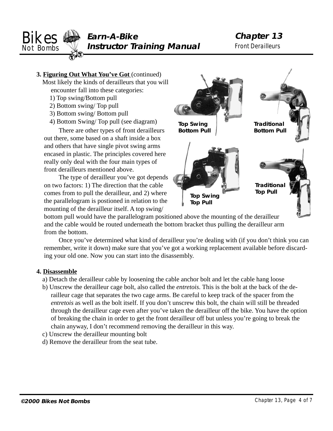<span id="page-3-0"></span>

**3. Figuring Out What You've Got** (continued)

Most likely the kinds of derailleurs that you will encounter fall into these categories:

- 1) Top swing/Bottom pull
- 2) Bottom swing/ Top pull
- 3) Bottom swing/ Bottom pull
- 4) Bottom Swing/ Top pull (see diagram)

There are other types of front derailleurs out there, some based on a shaft inside a box and others that have single pivot swing arms encased in plastic. The principles covered here really only deal with the four main types of front derailleurs mentioned above.

The type of derailleur you've got depends on two factors: 1) The direction that the cable comes from to pull the derailleur, and 2) where the parallelogram is postioned in relation to the mounting of the derailleur itself. A top swing/



bottom pull would have the parallelogram positioned above the mounting of the derailleur and the cable would be routed underneath the bottom bracket thus pulling the derailleur arm from the bottom.

Once you've determined what kind of derailleur you're dealing with (if you don't think you can remember, write it down) make sure that you've got a working replacement available before discarding your old one. Now you can start into the disassembly.

#### **4. Disassemble**

- a) Detach the derailleur cable by loosening the cable anchor bolt and let the cable hang loose
- b) Unscrew the derailleur cage bolt, also called the *entretois*. This is the bolt at the back of the derailleur cage that separates the two cage arms. Be careful to keep track of the spacer from the *entretois* as well as the bolt itself. If you don't unscrew this bolt, the chain will still be threaded through the derailleur cage even after you've taken the derailleur off the bike. You have the option of breaking the chain in order to get the front derailleur off but unless you're going to break the chain anyway, I don't recommend removing the derailleur in this way.
- c) Unscrew the derailleur mounting bolt
- d) Remove the derailleur from the seat tube.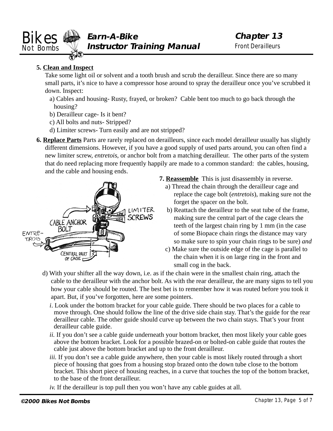<span id="page-4-0"></span>

#### **5. Clean and Inspect**

Take some light oil or solvent and a tooth brush and scrub the derailleur. Since there are so many small parts, it's nice to have a compressor hose around to spray the derailleur once you've scrubbed it down. Inspect:

- a) Cables and housing- Rusty, frayed, or broken? Cable bent too much to go back through the housing?
- b) Derailleur cage- Is it bent?
- c) All bolts and nuts- Stripped?
- d) Limiter screws- Turn easily and are not stripped?
- **6. Replace Parts** Parts are rarely replaced on derailleurs, since each model derailleur usually has slightly different dimensions. However, if you have a good supply of used parts around, you can often find a new limiter screw, *entretois*, or anchor bolt from a matching derailleur. The other parts of the system that do need replacing more frequently happily are made to a common standard: the cables, housing, and the cable and housing ends.



- **7. Reassemble** This is just disassembly in reverse.
	- a) Thread the chain through the derailleur cage and replace the cage bolt (*entretois*), making sure not the forget the spacer on the bolt.
	- b) Reattach the derailleur to the seat tube of the frame, making sure the central part of the cage clears the teeth of the largest chain ring by 1 mm (in the case of some Biopace chain rings the distance may vary so make sure to spin your chain rings to be sure) *and*
	- c) Make sure the outside edge of the cage is parallel to the chain when it is on large ring in the front and small cog in the back.
- d) With your shifter all the way down, i.e. as if the chain were in the smallest chain ring, attach the cable to the derailleur with the anchor bolt. As with the rear derailleur, the are many signs to tell you how your cable should be routed. The best bet is to remember how it was routed before you took it apart. But, if you've forgotten, here are some pointers.
	- *i*. Look under the bottom bracket for your cable guide. There should be two places for a cable to move through. One should follow the line of the drive side chain stay. That's the guide for the rear derailleur cable. The other guide should curve up between the two chain stays. That's your front derailleur cable guide.
	- *ii.* If you don't see a cable guide underneath your bottom bracket, then most likely your cable goes above the bottom bracket. Look for a possible brazed-on or bolted-on cable guide that routes the cable just above the bottom bracket and up to the front derailleur.
	- *iii.* If you don't see a cable guide anywhere, then your cable is most likely routed through a short piece of housing that goes from a housing stop brazed onto the down tube close to the bottom bracket. This short piece of housing reaches, in a curve that touches the top of the bottom bracket, to the base of the front derailleur.
	- *iv.* If the derailleur is top pull then you won't have any cable guides at all.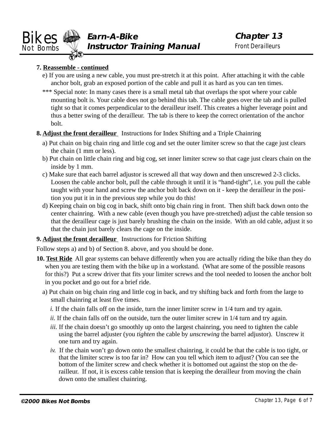<span id="page-5-0"></span>

#### **7. Reassemble - continued**

- e) If you are using a new cable, you must pre-stretch it at this point. After attaching it with the cable anchor bolt, grab an exposed portion of the cable and pull it as hard as you can ten times.
- \*\*\* Special note: In many cases there is a small metal tab that overlaps the spot where your cable mounting bolt is. Your cable does not go behind this tab. The cable goes over the tab and is pulled tight so that it comes perpendicular to the derailleur itself. This creates a higher leverage point and thus a better swing of the derailleur. The tab is there to keep the correct orientation of the anchor bolt.

#### **8. Adjust the front derailleur** Instructions for Index Shifting and a Triple Chainring

- a) Put chain on big chain ring and little cog and set the outer limiter screw so that the cage just clears the chain (1 mm or less).
- b) Put chain on little chain ring and big cog, set inner limiter screw so that cage just clears chain on the inside by 1 mm.
- c) Make sure that each barrel adjustor is screwed all that way down and then unscrewed 2-3 clicks. Loosen the cable anchor bolt, pull the cable through it until it is "hand-tight", i.e. you pull the cable taught with your hand and screw the anchor bolt back down on it - keep the derailleur in the position you put it in in the previous step while you do this!
- d) Keeping chain on big cog in back, shift onto big chain ring in front. Then shift back down onto the center chainring. With a new cable (even though you have pre-stretched) adjust the cable tension so that the derailleur cage is just barely brushing the chain on the inside. With an old cable, adjust it so that the chain just barely clears the cage on the inside.

#### **9. Adjust the front derailleur** Instructions for Friction Shifting

Follow steps a) and b) of Section 8. above, and you should be done.

- **10. Test Ride** All gear systems can behave differently when you are actually riding the bike than they do when you are testing them with the bike up in a workstand. (What are some of the possible reasons for this?) Put a screw driver that fits your limiter screws and the tool needed to loosen the anchor bolt in you pocket and go out for a brief ride.
	- a) Put chain on big chain ring and little cog in back, and try shifting back and forth from the large to small chainring at least five times.
		- *i.* If the chain falls off on the inside, turn the inner limiter screw in  $1/4$  turn and try again.
		- *ii.* If the chain falls off on the outside, turn the outer limiter screw in 1/4 turn and try again.
		- *iii.* If the chain doesn't go smoothly up onto the largest chainring, you need to tighten the cable using the barrel adjuster (you *tighten* the cable by *unscrewing* the barrel adjustor). Unscrew it one turn and try again.
		- *iv.* If the chain won't go down onto the smallest chainring, it could be that the cable is too tight, or that the limiter screw is too far in? How can you tell which item to adjust? (You can see the bottom of the limiter screw and check whether it is bottomed out against the stop on the derailleur. If not, it is excess cable tension that is keeping the derailleur from moving the chain down onto the smallest chainring.